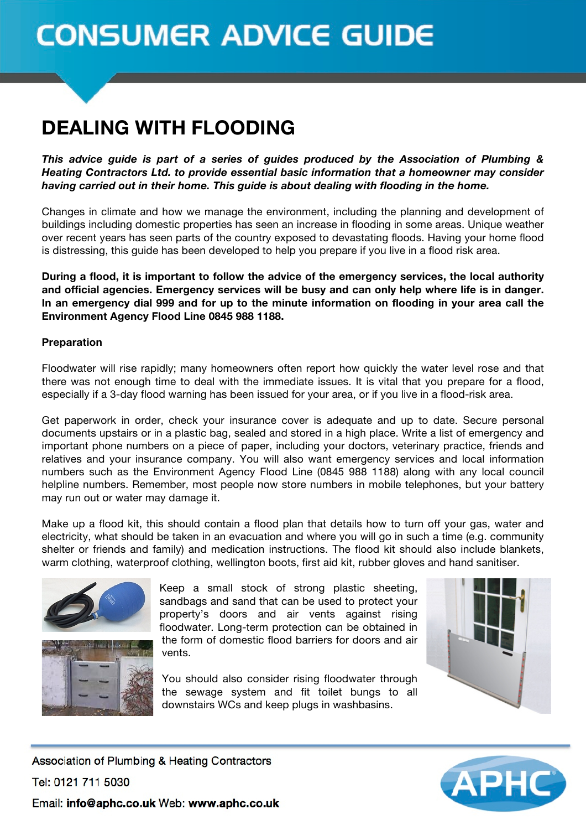# **CONSUMER ADVICE GUIDE**

# **DEALING WITH FLOODING**

*This advice guide is part of a series of guides produced by the Association of Plumbing & Heating Contractors Ltd. to provide essential basic information that a homeowner may consider having carried out in their home. This guide is about dealing with flooding in the home.*

Changes in climate and how we manage the environment, including the planning and development of buildings including domestic properties has seen an increase in flooding in some areas. Unique weather over recent years has seen parts of the country exposed to devastating floods. Having your home flood is distressing, this guide has been developed to help you prepare if you live in a flood risk area.

**During a flood, it is important to follow the advice of the emergency services, the local authority and official agencies. Emergency services will be busy and can only help where life is in danger. In an emergency dial 999 and for up to the minute information on flooding in your area call the Environment Agency Flood Line 0845 988 1188.** 

# **Preparation**

Floodwater will rise rapidly; many homeowners often report how quickly the water level rose and that there was not enough time to deal with the immediate issues. It is vital that you prepare for a flood, especially if a 3-day flood warning has been issued for your area, or if you live in a flood-risk area.

Get paperwork in order, check your insurance cover is adequate and up to date. Secure personal documents upstairs or in a plastic bag, sealed and stored in a high place. Write a list of emergency and important phone numbers on a piece of paper, including your doctors, veterinary practice, friends and relatives and your insurance company. You will also want emergency services and local information numbers such as the Environment Agency Flood Line (0845 988 1188) along with any local council helpline numbers. Remember, most people now store numbers in mobile telephones, but your battery may run out or water may damage it.

Make up a flood kit, this should contain a flood plan that details how to turn off your gas, water and electricity, what should be taken in an evacuation and where you will go in such a time (e.g. community shelter or friends and family) and medication instructions. The flood kit should also include blankets, warm clothing, waterproof clothing, wellington boots, first aid kit, rubber gloves and hand sanitiser.



Keep a small stock of strong plastic sheeting, sandbags and sand that can be used to protect your property's doors and air vents against rising floodwater. Long-term protection can be obtained in the form of domestic flood barriers for doors and air vents.

You should also consider rising floodwater through the sewage system and fit toilet bungs to all downstairs WCs and keep plugs in washbasins.



Association of Plumbing & Heating Contractors Tel: 0121 711 5030 Email: info@aphc.co.uk Web: www.aphc.co.uk

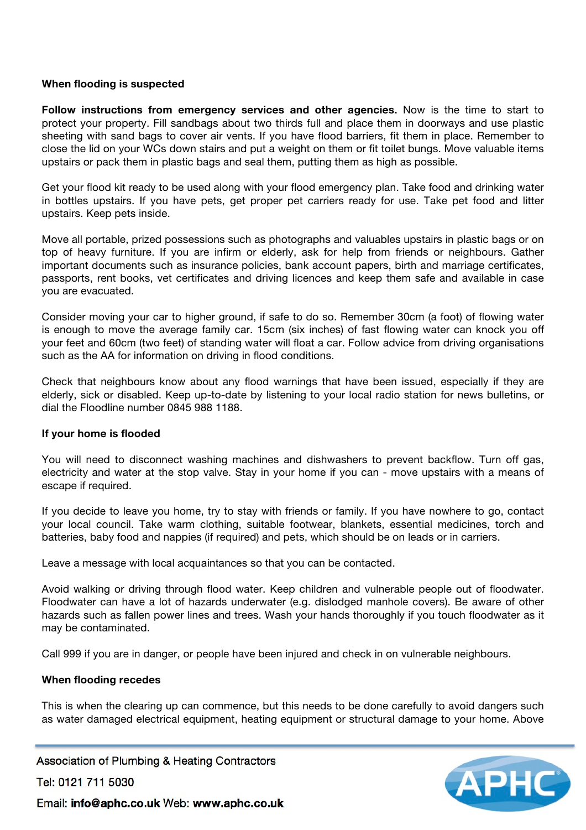# **When flooding is suspected**

**Follow instructions from emergency services and other agencies.** Now is the time to start to protect your property. Fill sandbags about two thirds full and place them in doorways and use plastic sheeting with sand bags to cover air vents. If you have flood barriers, fit them in place. Remember to close the lid on your WCs down stairs and put a weight on them or fit toilet bungs. Move valuable items upstairs or pack them in plastic bags and seal them, putting them as high as possible.

Get your flood kit ready to be used along with your flood emergency plan. Take food and drinking water in bottles upstairs. If you have pets, get proper pet carriers ready for use. Take pet food and litter upstairs. Keep pets inside.

Move all portable, prized possessions such as photographs and valuables upstairs in plastic bags or on top of heavy furniture. If you are infirm or elderly, ask for help from friends or neighbours. Gather important documents such as insurance policies, bank account papers, birth and marriage certificates, passports, rent books, vet certificates and driving licences and keep them safe and available in case you are evacuated.

Consider moving your car to higher ground, if safe to do so. Remember 30cm (a foot) of flowing water is enough to move the average family car. 15cm (six inches) of fast flowing water can knock you off your feet and 60cm (two feet) of standing water will float a car. Follow advice from driving organisations such as the AA for information on driving in flood conditions.

Check that neighbours know about any flood warnings that have been issued, especially if they are elderly, sick or disabled. Keep up-to-date by listening to your local radio station for news bulletins, or dial the Floodline number 0845 988 1188.

#### **If your home is flooded**

You will need to disconnect washing machines and dishwashers to prevent backflow. Turn off gas, electricity and water at the stop valve. Stay in your home if you can - move upstairs with a means of escape if required.

If you decide to leave you home, try to stay with friends or family. If you have nowhere to go, contact your local council. Take warm clothing, suitable footwear, blankets, essential medicines, torch and batteries, baby food and nappies (if required) and pets, which should be on leads or in carriers.

Leave a message with local acquaintances so that you can be contacted.

Avoid walking or driving through flood water. Keep children and vulnerable people out of floodwater. Floodwater can have a lot of hazards underwater (e.g. dislodged manhole covers). Be aware of other hazards such as fallen power lines and trees. Wash your hands thoroughly if you touch floodwater as it may be contaminated.

Call 999 if you are in danger, or people have been injured and check in on vulnerable neighbours.

# **When flooding recedes**

This is when the clearing up can commence, but this needs to be done carefully to avoid dangers such as water damaged electrical equipment, heating equipment or structural damage to your home. Above

Association of Plumbing & Heating Contractors

Tel: 0121 711 5030



Email: info@aphc.co.uk Web: www.aphc.co.uk